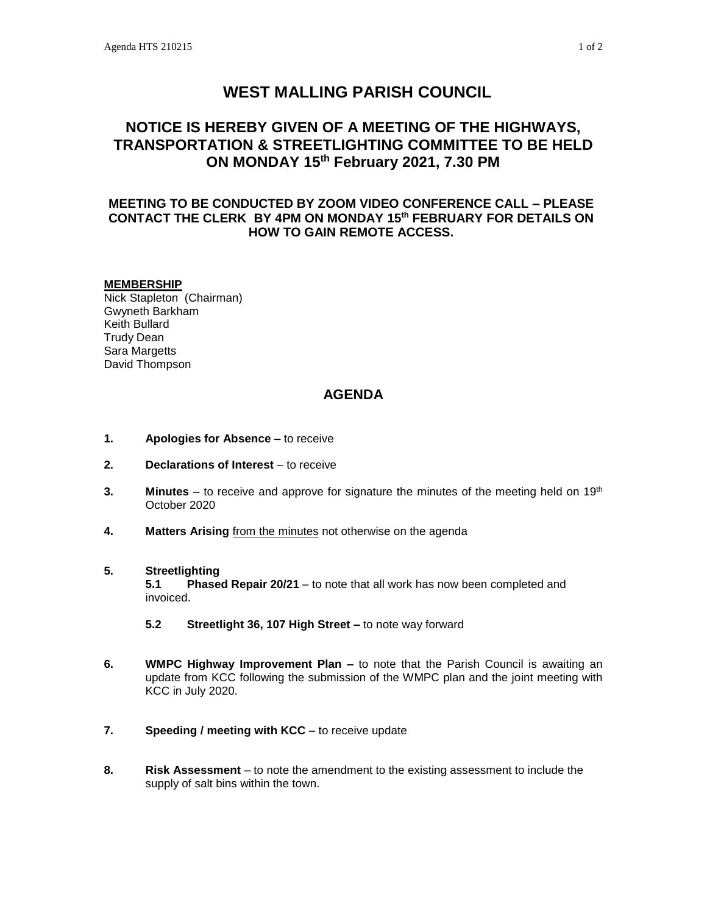# **WEST MALLING PARISH COUNCIL**

## **NOTICE IS HEREBY GIVEN OF A MEETING OF THE HIGHWAYS, TRANSPORTATION & STREETLIGHTING COMMITTEE TO BE HELD ON MONDAY 15th February 2021, 7.30 PM**

## **MEETING TO BE CONDUCTED BY ZOOM VIDEO CONFERENCE CALL – PLEASE CONTACT THE CLERK BY 4PM ON MONDAY 15th FEBRUARY FOR DETAILS ON HOW TO GAIN REMOTE ACCESS.**

### **MEMBERSHIP**

Nick Stapleton (Chairman) Gwyneth Barkham Keith Bullard Trudy Dean Sara Margetts David Thompson

## **AGENDA**

- **1. Apologies for Absence –** to receive
- **2. Declarations of Interest** to receive
- **3. Minutes** to receive and approve for signature the minutes of the meeting held on 19<sup>th</sup> October 2020
- **4. Matters Arising** from the minutes not otherwise on the agenda

## **5. Streetlighting**

**5.1 Phased Repair 20/21** – to note that all work has now been completed and invoiced.

- **5.2 Streetlight 36, 107 High Street –** to note way forward
- **6. WMPC Highway Improvement Plan –** to note that the Parish Council is awaiting an update from KCC following the submission of the WMPC plan and the joint meeting with KCC in July 2020.
- **7. Speeding / meeting with KCC** to receive update
- **8. Risk Assessment** to note the amendment to the existing assessment to include the supply of salt bins within the town.